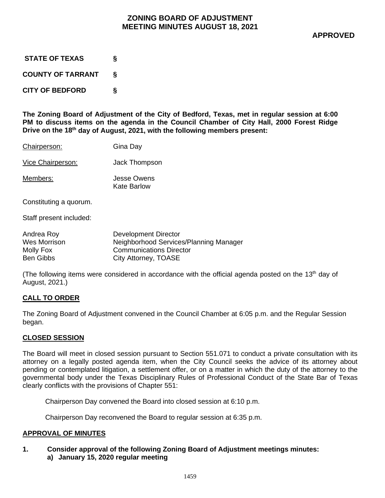| <b>STATE OF TEXAS</b>    | ξ |
|--------------------------|---|
| <b>COUNTY OF TARRANT</b> | δ |
| <b>CITY OF BEDFORD</b>   | δ |

**The Zoning Board of Adjustment of the City of Bedford, Texas, met in regular session at 6:00 PM to discuss items on the agenda in the Council Chamber of City Hall, 2000 Forest Ridge Drive on the 18th day of August, 2021, with the following members present:**

| Chairperson: | Gina Day |
|--------------|----------|
|--------------|----------|

Vice Chairperson: Jack Thompson

Members: Jesse Owens Kate Barlow

Constituting a quorum.

Staff present included:

| Andrea Roy   | Development Director                   |
|--------------|----------------------------------------|
| Wes Morrison | Neighborhood Services/Planning Manager |
| Molly Fox    | <b>Communications Director</b>         |
| Ben Gibbs    | City Attorney, TOASE                   |

(The following items were considered in accordance with the official agenda posted on the 13<sup>th</sup> day of August, 2021.)

## **CALL TO ORDER**

The Zoning Board of Adjustment convened in the Council Chamber at 6:05 p.m. and the Regular Session began.

## **CLOSED SESSION**

The Board will meet in closed session pursuant to Section 551.071 to conduct a private consultation with its attorney on a legally posted agenda item, when the City Council seeks the advice of its attorney about pending or contemplated litigation, a settlement offer, or on a matter in which the duty of the attorney to the governmental body under the Texas Disciplinary Rules of Professional Conduct of the State Bar of Texas clearly conflicts with the provisions of Chapter 551:

Chairperson Day convened the Board into closed session at 6:10 p.m.

Chairperson Day reconvened the Board to regular session at 6:35 p.m.

## **APPROVAL OF MINUTES**

**1. Consider approval of the following Zoning Board of Adjustment meetings minutes: a) January 15, 2020 regular meeting**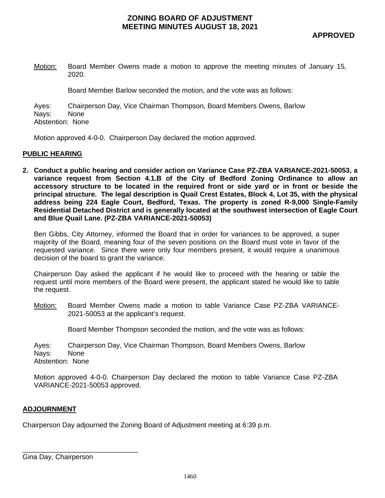## **ZONING BOARD OF ADJUSTMENT MEETING MINUTES AUGUST 18, 2021**

Motion: Board Member Owens made a motion to approve the meeting minutes of January 15, 2020.

Board Member Barlow seconded the motion, and the vote was as follows:

Ayes: Chairperson Day, Vice Chairman Thompson, Board Members Owens, Barlow Nays: None Abstention: None

Motion approved 4-0-0. Chairperson Day declared the motion approved.

#### **PUBLIC HEARING**

**2. Conduct a public hearing and consider action on Variance Case PZ-ZBA VARIANCE-2021-50053, a variance request from Section 4.1.B of the City of Bedford Zoning Ordinance to allow an accessory structure to be located in the required front or side yard or in front or beside the principal structure. The legal description is Quail Crest Estates, Block 4, Lot 35, with the physical address being 224 Eagle Court, Bedford, Texas. The property is zoned R-9,000 Single-Family Residential Detached District and is generally located at the southwest intersection of Eagle Court and Blue Quail Lane. (PZ-ZBA VARIANCE-2021-50053)**

Ben Gibbs, City Attorney, informed the Board that in order for variances to be approved, a super majority of the Board, meaning four of the seven positions on the Board must vote in favor of the requested variance. Since there were only four members present, it would require a unanimous decision of the board to grant the variance.

Chairperson Day asked the applicant if he would like to proceed with the hearing or table the request until more members of the Board were present, the applicant stated he would like to table the request.

Motion: Board Member Owens made a motion to table Variance Case PZ-ZBA VARIANCE-2021-50053 at the applicant's request.

Board Member Thompson seconded the motion, and the vote was as follows:

Ayes: Chairperson Day, Vice Chairman Thompson, Board Members Owens, Barlow Nays: None Abstention: None

Motion approved 4-0-0. Chairperson Day declared the motion to table Variance Case PZ-ZBA VARIANCE-2021-50053 approved.

### **ADJOURNMENT**

Chairperson Day adjourned the Zoning Board of Adjustment meeting at 6:39 p.m.

\_\_\_\_\_\_\_\_\_\_\_\_\_\_\_\_\_\_\_\_\_\_\_\_\_\_\_\_\_\_